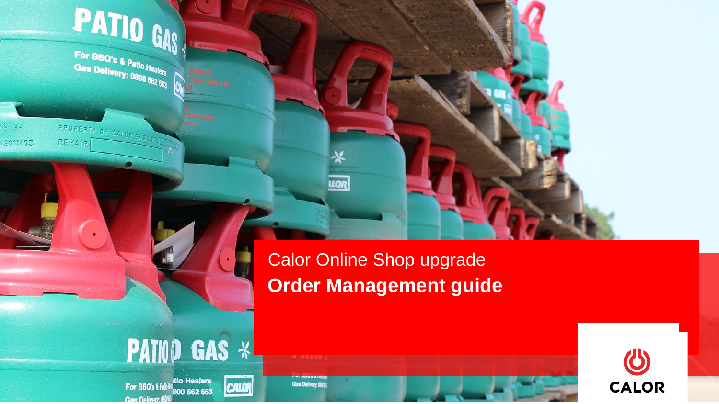# PATIO GAS

For BBQ's & Patio Heaters Gas Delivery: 0800 662 663

PROPERTY OF CALOR 645 LT 28103 REPAIR 2011/03

#### **Calor Online Shop upgrade Order Management guide**

**LLOR** 



CALOR

For BBQ's & Patietist 1600 662 663 **Gas Delivery: 0001601** 



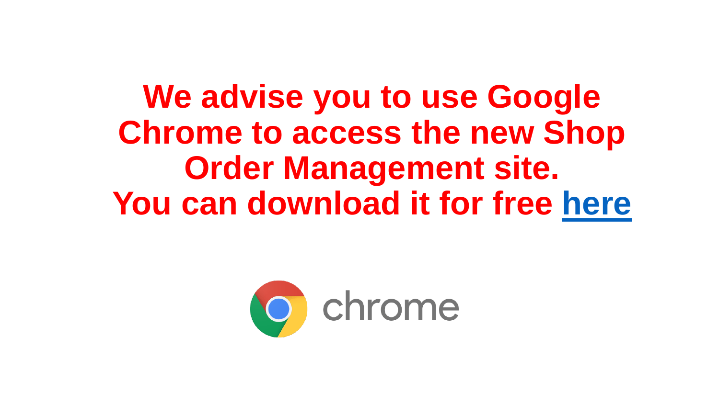**We advise you to use Google Chrome to access the new Shop Order Management site. You can download it for free [here](https://www.google.co.uk/chrome/?brand=CHBF&brand=OPNX&utm_source=bing&utm_medium=cpc&utm_campaign=1008138%20%7C%20Chrome%20Win10%20%7C%20DR%20%7C%20ESS01%20%7C%20EMEA%20%7C%20GB%20%7C%20en%20%7C%20Desk%20%7C%20Bing%20SEM%20%7C%20BKWS%20~%20Exact%20-%20NEW&utm_term=chrome%20install&utm_content=Desk%20%7C%20BING%20SEM%20%7C%20BKWS%20%7C%20Exact%20~%20Install%20-%20NEW&gclid=01c9d3e4c3f816ec95478c33e4e971d9&gclsrc=3p.ds)**

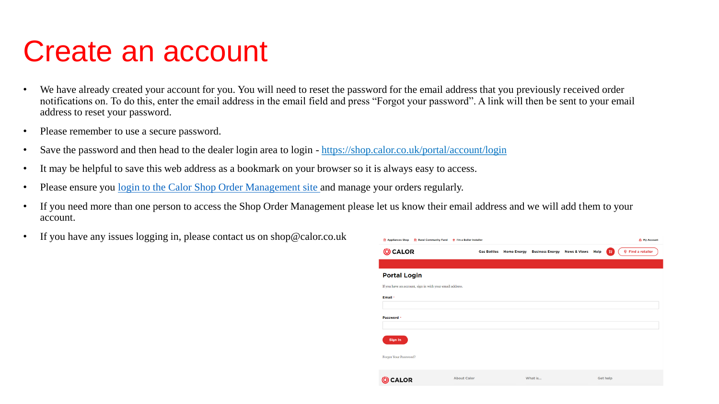### Create an account

- We have already created your account for you. You will need to reset the password for the email address that you previously received order notifications on. To do this, enter the email address in the email field and press "Forgot your password". A link will then be sent to your email address to reset your password.
- Please remember to use a secure password.
- Save the password and then head to the dealer login area to login <https://shop.calor.co.uk/portal/account/login>
- It may be helpful to save this web address as a bookmark on your browser so it is always easy to access.
- Please ensure you login to the Calor [Shop Order Management site a](https://shop.calor.co.uk/portal/account/login)nd manage your orders regularly.
- If you need more than one person to access the Shop Order Management please let us know their email address and we will add them to your account.
- If you have any issues logging in, please contact us on shop@calor.co.uk

| <b>R</b> Appliances Shop <b>R</b> Rural Community Fund   | ♦ I'm a Boiler Installer |                                |                                         |                 | A My Account        |
|----------------------------------------------------------|--------------------------|--------------------------------|-----------------------------------------|-----------------|---------------------|
| <b>©CALOR</b>                                            |                          | <b>Gas Bottles Home Energy</b> | <b>Business Energy News &amp; Views</b> | Help<br>Ħ       | $Q$ Find a retailer |
|                                                          |                          |                                |                                         |                 |                     |
| <b>Portal Login</b>                                      |                          |                                |                                         |                 |                     |
| If you have an account, sign in with your email address. |                          |                                |                                         |                 |                     |
| Email ·                                                  |                          |                                |                                         |                 |                     |
|                                                          |                          |                                |                                         |                 |                     |
| Password ·                                               |                          |                                |                                         |                 |                     |
|                                                          |                          |                                |                                         |                 |                     |
| Sign In                                                  |                          |                                |                                         |                 |                     |
|                                                          |                          |                                |                                         |                 |                     |
| <b>Forgot Your Password?</b>                             |                          |                                |                                         |                 |                     |
|                                                          |                          |                                |                                         |                 |                     |
| <b>CALOR</b><br>ග                                        | <b>About Calor</b>       |                                | What is                                 | <b>Get help</b> |                     |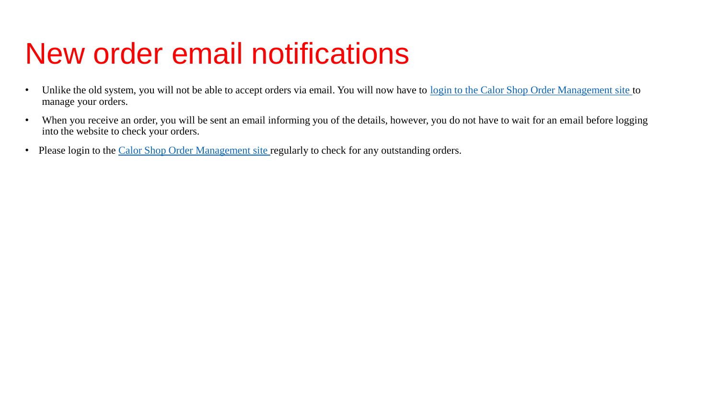## New order email notifications

- Unlike the old system, you will not be able to accept orders via email. You will now have to [login to the Calor Shop Order Management site t](https://shop.calor.co.uk/portal/account/login)o manage your orders.
- When you receive an order, you will be sent an email informing you of the details, however, you do not have to wait for an email before logging into the website to check your orders.
- Please login to the Calor [Shop Order Management site r](https://shop.calor.co.uk/portal/account/login)egularly to check for any outstanding orders.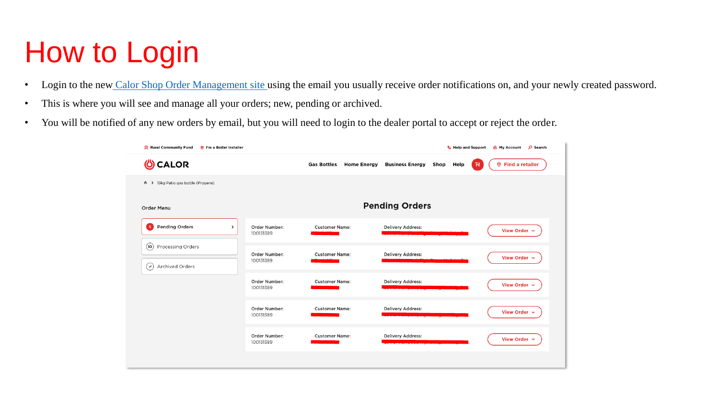## How to Login

- Login to the new [Calor Shop Order Management site](https://shop.calor.co.uk/portal/account/login) using the email you usually receive order notifications on, and your newly created password.
- This is where you will see and manage all your orders; new, pending or archived.
- You will be notified of any new orders by email, but you will need to login to the dealer portal to accept or reject the order.

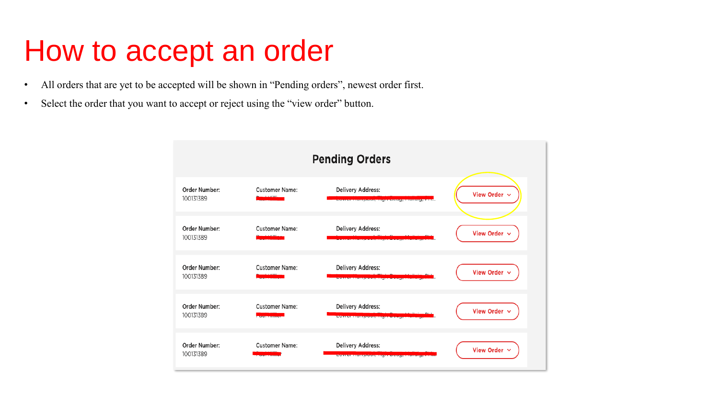#### How to accept an order

- All orders that are yet to be accepted will be shown in "Pending orders", newest order first.
- Select the order that you want to accept or reject using the "view order" button.

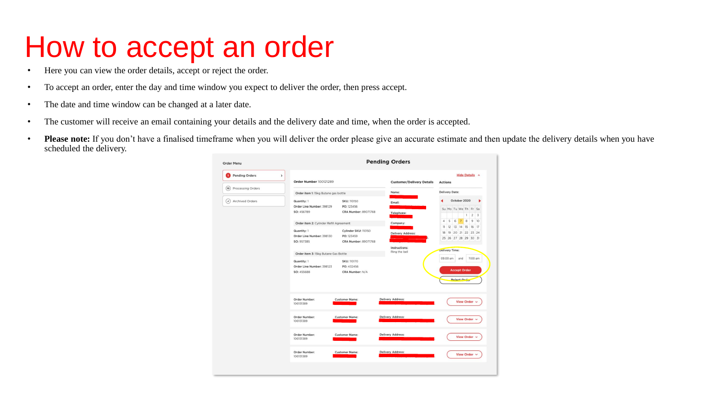#### How to accept an order

- Here you can view the order details, accept or reject the order.
- To accept an order, enter the day and time window you expect to deliver the order, then press accept.
- The date and time window can be changed at a later date.
- The customer will receive an email containing your details and the delivery date and time, when the order is accepted.
- Please note: If you don't have a finalised timeframe when you will deliver the order please give an accurate estimate and then update the delivery details when you have scheduled the delivery.

| <b>Order Menu</b>                           | <b>Pending Orders</b>                                                                                                                                                                                                                                         |                                                                                                                                                                               |                                                                                                |                                    |                                                                                                                                                                                                                                                                            |  |  |  |  |
|---------------------------------------------|---------------------------------------------------------------------------------------------------------------------------------------------------------------------------------------------------------------------------------------------------------------|-------------------------------------------------------------------------------------------------------------------------------------------------------------------------------|------------------------------------------------------------------------------------------------|------------------------------------|----------------------------------------------------------------------------------------------------------------------------------------------------------------------------------------------------------------------------------------------------------------------------|--|--|--|--|
| <b>Pending Orders</b><br>в<br>$\rightarrow$ | Order Number 100121289                                                                                                                                                                                                                                        |                                                                                                                                                                               | <b>Customer/Delivery Details</b>                                                               | Hide Details ^<br><b>Actions</b>   |                                                                                                                                                                                                                                                                            |  |  |  |  |
| (10) Processing Orders                      | Order item 1: 15kg Butane gas bottle                                                                                                                                                                                                                          |                                                                                                                                                                               | Name:                                                                                          | <b>Delivery Date:</b>              |                                                                                                                                                                                                                                                                            |  |  |  |  |
| Archived Orders<br>$\mathbf{v})$            | Quantity: 1<br>Order Line Number: 398129<br>SO: 456789<br>Order item 2: Cylinder Refill Agreement<br>Quantity: 1<br>Order Line Number: 398130<br>SO: 957385<br>Order item 3: 15kg Butane Gas Bottle<br>Quantity: 1<br>Order Line Number: 398123<br>SO: 455688 | <b>SKU: 110150</b><br>PO: 123456<br>CRA Number: 89071768<br>Cylinder SKU: 110150<br>PO: 123459<br>CRA Number: 89071768<br><b>SKU: 110170</b><br>PO: 432456<br>CRA Number: N/A | Email:<br>Telephone:<br>Company:<br><b>Delivery Address:</b><br>Instructions:<br>Ring the bell | $\boldsymbol{A}$<br>18<br>09:00 am | October 2020<br>ь<br>Su Mo Tu We Th Fr Sa<br>$2 \overline{3}$<br>$\mathbf{1}$<br>56<br>8<br>9 10<br>7 <sup>7</sup><br>11 12 13 14 15 16 17<br>19 20 21 22 23 24<br>25 26 27 28 29 30 31<br><b>Delivery Time:</b><br>and<br>11:00 am<br><b>Accept Order</b><br>Reject Order |  |  |  |  |
|                                             | Order Number:<br>100131389<br>Order Number:<br>100131389                                                                                                                                                                                                      | <b>Customer Name:</b><br><b>Customer Name:</b>                                                                                                                                | <b>Delivery Address:</b><br><b>Delivery Address:</b>                                           |                                    | View Order v<br>View Order v                                                                                                                                                                                                                                               |  |  |  |  |
|                                             | Order Number:<br>100131389                                                                                                                                                                                                                                    | <b>Customer Name:</b>                                                                                                                                                         | <b>Delivery Address:</b>                                                                       |                                    | View Order v                                                                                                                                                                                                                                                               |  |  |  |  |
|                                             | Order Number:<br>100131389                                                                                                                                                                                                                                    | <b>Customer Name:</b>                                                                                                                                                         | <b>Delivery Address:</b>                                                                       |                                    | View Order v                                                                                                                                                                                                                                                               |  |  |  |  |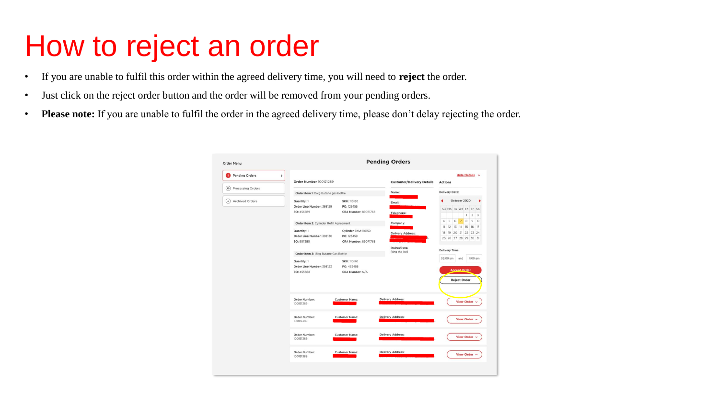### How to reject an order

- If you are unable to fulfil this order within the agreed delivery time, you will need to **reject** the order.
- Just click on the reject order button and the order will be removed from your pending orders.
- **Please note:** If you are unable to fulfil the order in the agreed delivery time, please don't delay rejecting the order.

| <b>Order Menu</b>                 |                                                        |                                                            | <b>Pending Orders</b>            |                                                           |                                                                      |                                                   |              |                  |  |
|-----------------------------------|--------------------------------------------------------|------------------------------------------------------------|----------------------------------|-----------------------------------------------------------|----------------------------------------------------------------------|---------------------------------------------------|--------------|------------------|--|
| Pending Orders<br>,               | Order Number 100121289                                 |                                                            | <b>Customer/Delivery Details</b> | Hide Details ^<br><b>Actions</b><br><b>Delivery Date:</b> |                                                                      |                                                   |              |                  |  |
| (10) Processing Orders            | Order item 1: 15kg Butane gas bottle                   |                                                            | Name:                            |                                                           |                                                                      |                                                   |              |                  |  |
| Archived Orders<br>$(\checkmark)$ | Quantity: 1<br>Order Line Number: 398129               | <b>SKU: 110150</b><br>PO: 123456                           | Email:                           |                                                           | October 2020<br>Su Mo Tu We Th Fr Sa                                 |                                                   |              |                  |  |
|                                   | SO: 456789                                             | CRA Number: 89071768                                       | Telephone:                       |                                                           |                                                                      |                                                   | $\mathbf{1}$ | $2 \overline{3}$ |  |
|                                   | Order item 2: Cylinder Refill Agreement                |                                                            | Company:                         |                                                           | 4 5 6 7 8                                                            |                                                   |              | 9 10             |  |
|                                   | Quantity: 1<br>Order Line Number: 398130<br>SO: 957385 | Cylinder SKU: 110150<br>PO: 123459<br>CRA Number: 89071768 | <b>Delivery Address:</b>         |                                                           | 11 12 13 14 15 16 17<br>18 19 20 21 22 23 24<br>25 26 27 28 29 30 31 |                                                   |              |                  |  |
|                                   | Order item 3: 15kg Butane Gas Bottle                   | Instructions:<br>Ring the bell                             | <b>Delivery Time:</b>            |                                                           |                                                                      |                                                   |              |                  |  |
|                                   | Quantity: 1<br>Order Line Number: 398123<br>SO: 455688 | <b>SKU: 110170</b><br>PO: 432456<br>CRA Number: N/A        |                                  | 09:00 am                                                  |                                                                      | and<br><b>Accept Order</b><br><b>Reject Order</b> |              | 11:00 am         |  |
|                                   | Order Number:<br>100131389                             | <b>Customer Name:</b>                                      | <b>Delivery Address:</b>         |                                                           |                                                                      | View Order v                                      |              |                  |  |
|                                   | Order Number:<br>100131389                             | <b>Customer Name:</b>                                      | <b>Delivery Address:</b>         |                                                           |                                                                      | View Order v                                      |              |                  |  |
|                                   | Order Number:<br>100131389                             | <b>Customer Name:</b>                                      | <b>Delivery Address:</b>         |                                                           |                                                                      | View Order v                                      |              |                  |  |
|                                   | Order Number:<br>100131389                             | <b>Customer Name:</b>                                      | <b>Delivery Address:</b>         |                                                           |                                                                      | View Order v                                      |              |                  |  |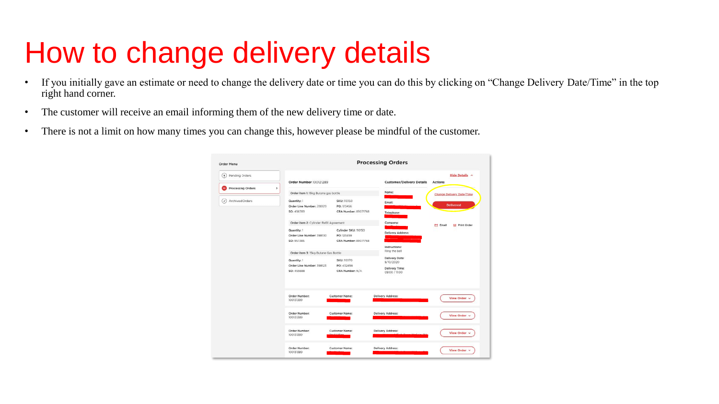## How to change delivery details

- If you initially gave an estimate or need to change the delivery date or time you can do this by clicking on "Change Delivery Date/Time" in the top right hand corner.
- The customer will receive an email informing them of the new delivery time or date.
- There is not a limit on how many times you can change this, however please be mindful of the customer.

| Order Menu                          |                                                        |                                                            | <b>Processing Orders</b>                                              |                                    |  |  |  |
|-------------------------------------|--------------------------------------------------------|------------------------------------------------------------|-----------------------------------------------------------------------|------------------------------------|--|--|--|
| Pending Orders<br>$(\sf{s})$        | Order Number 100121289                                 |                                                            | <b>Customer/Delivery Details</b>                                      | Hide Details ^<br><b>Actions</b>   |  |  |  |
| <b>10</b> Processing Orders         | $\rightarrow$<br>Order item 1: 15kg Butane gas bottle  |                                                            | Name:                                                                 | <b>Change Delivery Date/Time</b>   |  |  |  |
| <b>Archived Orders</b><br>$(\star)$ | Quantity: 1<br>Order Line Number: 398129<br>SO: 456789 | <b>SKU: 110150</b><br>PO: 123456<br>CRA Number: 89071768   | Email:<br>Telephone:                                                  | <b>Delivered</b>                   |  |  |  |
|                                     | Order item 2: Cylinder Refill Agreement                |                                                            | Company:                                                              | $M$ Email<br><b>El Print Order</b> |  |  |  |
|                                     | Quantity: 1<br>Order Line Number: 398130<br>SO: 957385 | Cylinder SKU: 110150<br>PO: 123459<br>CRA Number: 89071768 | <b>Delivery Address:</b>                                              |                                    |  |  |  |
|                                     | Order item 3: 15kg Butane Gas Bottle                   |                                                            | Instructions:<br>Ring the bell                                        |                                    |  |  |  |
|                                     | Quantity: 1<br>Order Line Number: 398123<br>SO: 455688 | <b>SKU: 110170</b><br>PO: 432456<br>CRA Number: N/A        | <b>Delivery Date:</b><br>5/10/2020<br>Delivery Time:<br>09:00 / 11:00 |                                    |  |  |  |
|                                     | Order Number:<br>100131389                             | <b>Customer Name:</b>                                      | <b>Delivery Address:</b>                                              | View Order v                       |  |  |  |
|                                     | Order Number:<br>100131389                             | <b>Customer Name:</b>                                      | <b>Delivery Address:</b>                                              | View Order v                       |  |  |  |
|                                     | Order Number:<br>100131389                             | <b>Customer Name:</b><br>1.11112                           | <b>Delivery Address:</b>                                              | View Order v                       |  |  |  |
|                                     | Order Number:<br>100131389                             | <b>Customer Name:</b>                                      | <b>Delivery Address:</b>                                              | View Order v                       |  |  |  |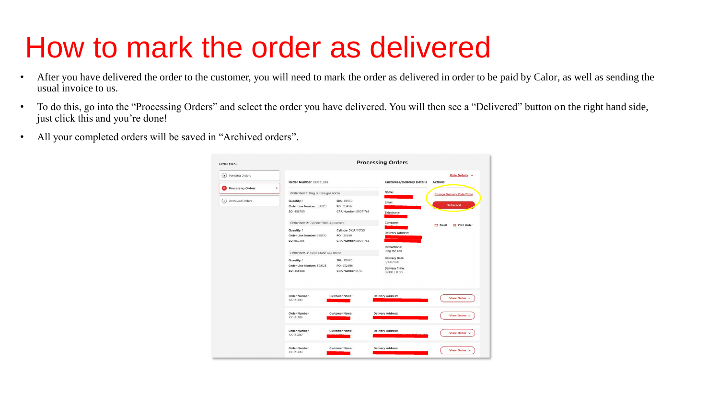#### How to mark the order as delivered

- After you have delivered the order to the customer, you will need to mark the order as delivered in order to be paid by Calor, as well as sending the usual invoice to us.
- To do this, go into the "Processing Orders" and select the order you have delivered. You will then see a "Delivered" button on the right hand side, just click this and you're done!
- All your completed orders will be saved in "Archived orders".

| Order Menu                          |                                                        |                                                            | <b>Processing Orders</b>                                       |                                         |  |  |  |
|-------------------------------------|--------------------------------------------------------|------------------------------------------------------------|----------------------------------------------------------------|-----------------------------------------|--|--|--|
| Pending Orders<br>$\left( 5\right)$ | Order Number 100121289                                 |                                                            | <b>Customer/Delivery Details</b>                               | <b>Hide Details ^</b><br><b>Actions</b> |  |  |  |
| <b>10</b> Processing Orders         | $\rightarrow$<br>Order item 1: 15kg Butane gas bottle  |                                                            | Name:                                                          | <b>Change Delivery Date/Time</b>        |  |  |  |
| Archived Orders<br>$(\star)$        | Quantity: 1<br>Order Line Number: 398129<br>SO: 456789 | <b>SKU: 110150</b><br>PO: 123456<br>CRA Number: 89071768   | Email:<br>Telephone:                                           | <b>Delivered</b>                        |  |  |  |
|                                     | Order item 2: Cylinder Refill Agreement                |                                                            | Company:                                                       | $M$ Email<br><b>El Print Order</b>      |  |  |  |
|                                     | Quantity: 1<br>Order Line Number: 398130<br>SO: 957385 | Cylinder SKU: 110150<br>PO: 123459<br>CRA Number: 89071768 | <b>Delivery Address:</b>                                       |                                         |  |  |  |
|                                     | Order item 3: 15kg Butane Gas Bottle                   |                                                            | Instructions:<br>Ring the bell                                 |                                         |  |  |  |
|                                     | Quantity: 1<br>Order Line Number: 398123<br>SO: 455688 | <b>SKU: 110170</b><br>PO: 432456<br>CRA Number: N/A        | Delivery Date:<br>5/10/2020<br>Delivery Time:<br>09:00 / 11:00 |                                         |  |  |  |
|                                     | Order Number:<br>100131389                             | <b>Customer Name:</b>                                      | <b>Delivery Address:</b>                                       | View Order v                            |  |  |  |
|                                     | Order Number:<br>100131389                             | <b>Customer Name:</b>                                      | <b>Delivery Address:</b>                                       | View Order v                            |  |  |  |
|                                     | Order Number:<br>100131389                             | <b>Customer Name:</b><br>a a con-                          | <b>Delivery Address:</b>                                       | View Order v                            |  |  |  |
|                                     | Order Number:<br>100131389                             | <b>Customer Name:</b>                                      | <b>Delivery Address:</b>                                       | View Order v                            |  |  |  |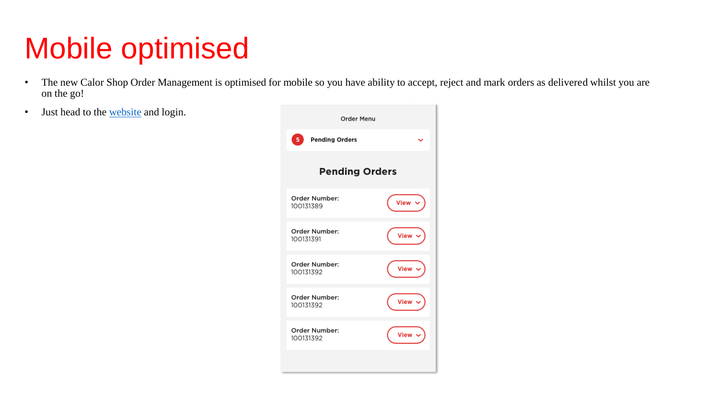## Mobile optimised

- The new Calor Shop Order Management is optimised for mobile so you have ability to accept, reject and mark orders as delivered whilst you are on the go!
- Just head to the [website](https://shop.calor.co.uk/portal/account/login) and login.

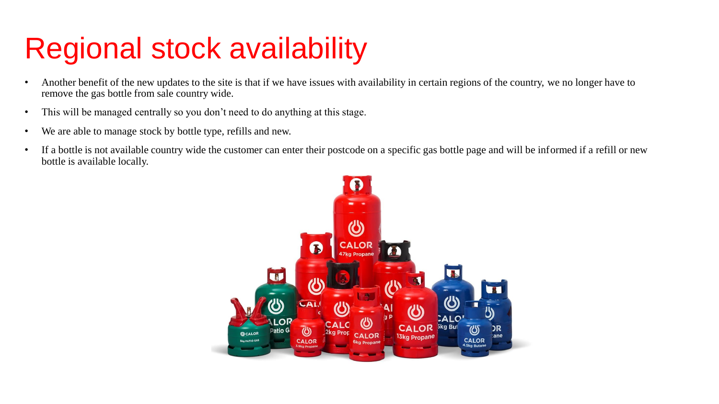## Regional stock availability

- Another benefit of the new updates to the site is that if we have issues with availability in certain regions of the country, we no longer have to remove the gas bottle from sale country wide.
- This will be managed centrally so you don't need to do anything at this stage.
- We are able to manage stock by bottle type, refills and new.
- If a bottle is not available country wide the customer can enter their postcode on a specific gas bottle page and will be informed if a refill or new bottle is available locally.